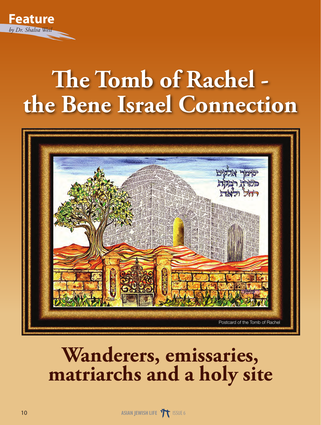

## **The Tomb of Rachel the Bene Israel Connection**



## **Wanderers, emissaries, matriarchs and a holy site**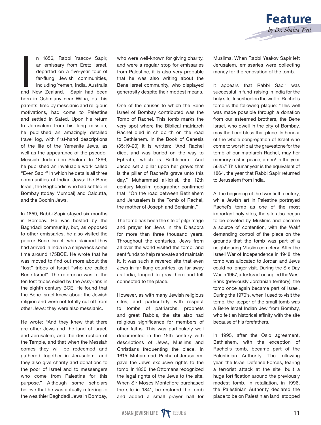![](_page_1_Picture_0.jpeg)

n 1856, Rabbi Yaacov Sapir,<br>an emissary from Eretz Israel,<br>departed on a five-year tour of<br>far-flung Jewish communities,<br>including Yemen, India, Australia<br>and New Zealand. Sapir had been n 1856, Rabbi Yaacov Sapir, an emissary from Eretz Israel, departed on a five-year tour of far-flung Jewish communities, including Yemen, India, Australia born in Oshmiany near Wilna, but his parents, fired by messianic and religious motivations, had come to Palestine and settled in Safed. Upon his return to Jerusalem from his long mission, he published an amazingly detailed travel log, with first-hand descriptions of the life of the Yemenite Jews, as well as the appearance of the pseudo-Messiah Judah ben Shalom. In 1866, he published an invaluable work called "Even Sapir" in which he details all three communities of Indian Jews: the Bene Israel, the Baghdadis who had settled in Bombay (today Mumbai) and Calcutta, and the Cochin Jews.

In 1859, Rabbi Sapir stayed six months in Bombay. He was hosted by the Baghdadi community, but, as opposed to other emissaries, he also visited the poorer Bene Israel, who claimed they had arrived in India in a shipwreck some time around 175BCE. He wrote that he was moved to find out more about the "lost" tribes of Israel "who are called Bene Israel". The reference was to the ten lost tribes exiled by the Assyrians in the eighth century BCE. He found that the Bene Israel knew about the Jewish religion and were not totally cut off from other Jews; they were also messianic.

He wrote: "And they knew that there are other Jews and the land of Israel, and Jerusalem, and the destruction of the Temple, and that when the Messiah comes they will be redeemed and gathered together in Jerusalem…and they also give charity and donations to the poor of Israel and to messengers who come from Palestine for this purpose." Although some scholars believe that he was actually referring to the wealthier Baghdadi Jews in Bombay, who were well-known for giving charity. and were a regular stop for emissaries from Palestine, it is also very probable that he was also writing about the Bene Israel community, who displayed generosity despite their modest means.

One of the causes to which the Bene Israel of Bombay contributed was the Tomb of Rachel. This tomb marks the very spot where the Biblical matriarch Rachel died in childbirth on the road to Bethlehem. In the Book of Genesis (35:19-20) it is written: "And Rachel died, and was buried on the way to Ephrath, which is Bethlehem. And Jacob set a pillar upon her grave: that is the pillar of Rachel's grave unto this day." Muhammad al-Idrisi, the 12th century Muslim geographer confirmed that: "On the road between Bethlehem and Jerusalem is the Tomb of Rachel, the mother of Joseph and Benjamin."

The tomb has been the site of pilgrimage and prayer for Jews in the Diaspora for more than three thousand years. Throughout the centuries, Jews from all over the world visited the tomb, and sent funds to help renovate and maintain it. It was such a revered site that even Jews in far-flung countries, as far away as India, longed to pray there and felt connected to the place.

However, as with many Jewish religious sites, and particularly with respect to tombs of patriarchs, prophets and great Rabbis, the site also had religious significance for members of other faiths. This was particularly well documented in the 15th century with descriptions of Jews, Muslims and Christians frequenting the place. In 1615, Muhammad, Pasha of Jerusalem, gave the Jews exclusive rights to the tomb. In 1830, the Ottomans recognized the legal rights of the Jews to the site. When Sir Moses Montefiore purchased the site in 1841, he restored the tomb and added a small prayer hall for

Muslims. When Rabbi Yaakov Sapir left Jerusalem, emissaries were collecting money for the renovation of the tomb.

It appears that Rabbi Sapir was successful in fund-raising in India for the holy site. Inscribed on the wall of Rachel's tomb is the following plaque: "This well was made possible through a donation from our esteemed brothers, the Bene Israel, who dwell in the city of Bombay, may the Lord bless that place. In honour of the whole congregation of Israel who come to worship at the gravestone for the tomb of our matriarch Rachel, may her memory rest in peace, amen! In the year 5625." This lunar year is the equivalent of 1864, the year that Rabbi Sapir returned to Jerusalem from India.

At the beginning of the twentieth century, while Jewish art in Palestine portrayed Rachel's tomb as one of the most important holy sites, the site also began to be coveted by Muslims and became a source of contention, with the Wakf demanding control of the place on the grounds that the tomb was part of a neighbouring Muslim cemetery. After the Israeli War of Independence in 1948, the tomb was allocated to Jordan and Jews could no longer visit. During the Six Day War in 1967, after Israel occupied the West Bank (previously Jordanian territory), the tomb once again became part of Israel. During the 1970's, when I used to visit the tomb, the keeper of the small tomb was a Bene Israel Indian Jew from Bombay, who felt an historical affinity with the site because of his forefathers.

In 1995, after the Oslo agreement, Bethlehem, with the exception of Rachel's tomb, became part of the Palestinian Authority. The following year, the Israel Defense Forces, fearing a terrorist attack at the site, built a huge fortification around the previously modest tomb. In retaliation, in 1996, the Palestinian Authority declared the place to be on Palestinian land, stopped

![](_page_1_Picture_12.jpeg)